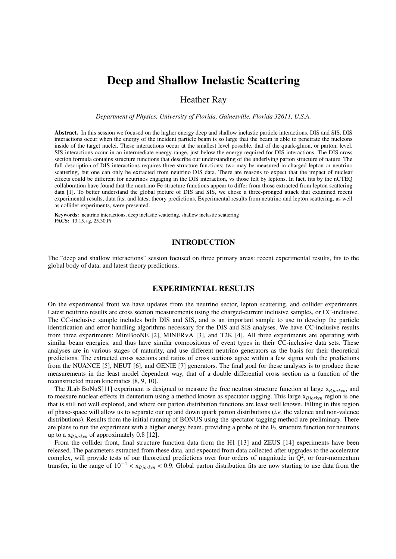# Deep and Shallow Inelastic Scattering

Heather Ray

*Department of Physics, University of Florida, Gainesville, Florida 32611, U.S.A.*

Abstract. In this session we focused on the higher energy deep and shallow inelastic particle interactions, DIS and SIS. DIS interactions occur when the energy of the incident particle beam is so large that the beam is able to penetrate the nucleons inside of the target nuclei. These interactions occur at the smallest level possible, that of the quark-gluon, or parton, level. SIS interactions occur in an intermediate energy range, just below the energy required for DIS interactions. The DIS cross section formula contains structure functions that describe our understanding of the underlying parton structure of nature. The full description of DIS interactions requires three structure functions: two may be measured in charged lepton or neutrino scattering, but one can only be extracted from neutrino DIS data. There are reasons to expect that the impact of nuclear effects could be different for neutrinos engaging in the DIS interaction, vs those felt by leptons. In fact, fits by the nCTEQ collaboration have found that the neutrino-Fe structure functions appear to differ from those extracted from lepton scattering data [1]. To better understand the global picture of DIS and SIS, we chose a three-pronged attack that examined recent experimental results, data fits, and latest theory predictions. Experimental results from neutrino and lepton scattering, as well as collider experiments, were presented.

Keywords: neutrino interactions, deep inelastic scattering, shallow inelastic scattering PACS: 13.15.+g, 25.30.Pt

## INTRODUCTION

The "deep and shallow interactions" session focused on three primary areas: recent experimental results, fits to the global body of data, and latest theory predictions.

## EXPERIMENTAL RESULTS

On the experimental front we have updates from the neutrino sector, lepton scattering, and collider experiments. Latest neutrino results are cross section measurements using the charged-current inclusive samples, or CC-inclusive. The CC-inclusive sample includes both DIS and SIS, and is an important sample to use to develop the particle identification and error handling algorithms necessary for the DIS and SIS analyses. We have CC-inclusive results from three experiments: MiniBooNE [2], MINERVA [3], and T2K [4]. All three experiments are operating with similar beam energies, and thus have similar compositions of event types in their CC-inclusive data sets. These analyses are in various stages of maturity, and use different neutrino generators as the basis for their theoretical predictions. The extracted cross sections and ratios of cross sections agree within a few sigma with the predictions from the NUANCE [5], NEUT [6], and GENIE [7] generators. The final goal for these analyses is to produce these measurements in the least model dependent way, that of a double differential cross section as a function of the reconstructed muon kinematics [8, 9, 10].

The JLab BoNuS[11] experiment is designed to measure the free neutron structure function at large x<sub>B jorken</sub>, and to measure nuclear effects in deuterium using a method known as spectator tagging. This large x*B jorken* region is one that is still not well explored, and where our parton distribution functions are least well known. Filling in this region of phase-space will allow us to separate our up and down quark parton distributions (*i.e.* the valence and non-valence distributions). Results from the initial running of BONUS using the spectator tagging method are preliminary. There are plans to run the experiment with a higher energy beam, providing a probe of the  $F_2$  structure function for neutrons up to a x*B jorken* of approximately 0.8 [12].

From the collider front, final structure function data from the H1 [13] and ZEUS [14] experiments have been released. The parameters extracted from these data, and expected from data collected after upgrades to the accelerator complex, will provide tests of our theoretical predictions over four orders of magnitude in  $Q^2$ , or four-momentum transfer, in the range of 10−<sup>4</sup> < x*B jorken* < 0.9. Global parton distribution fits are now starting to use data from the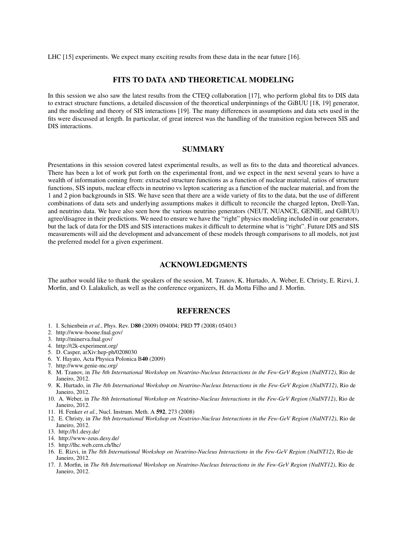LHC [15] experiments. We expect many exciting results from these data in the near future [16].

# FITS TO DATA AND THEORETICAL MODELING

In this session we also saw the latest results from the CTEQ collaboration [17], who perform global fits to DIS data to extract structure functions, a detailed discussion of the theoretical underpinnings of the GiBUU [18, 19] generator, and the modeling and theory of SIS interactions [19]. The many differences in assumptions and data sets used in the fits were discussed at length. In particular, of great interest was the handling of the transition region between SIS and DIS interactions.

# SUMMARY

Presentations in this session covered latest experimental results, as well as fits to the data and theoretical advances. There has been a lot of work put forth on the experimental front, and we expect in the next several years to have a wealth of information coming from: extracted structure functions as a function of nuclear material, ratios of structure functions, SIS inputs, nuclear effects in neutrino vs lepton scattering as a function of the nuclear material, and from the 1 and 2 pion backgrounds in SIS. We have seen that there are a wide variety of fits to the data, but the use of different combinations of data sets and underlying assumptions makes it difficult to reconcile the charged lepton, Drell-Yan, and neutrino data. We have also seen how the various neutrino generators (NEUT, NUANCE, GENIE, and GiBUU) agree/disagree in their predictions. We need to ensure we have the "right" physics modeling included in our generators, but the lack of data for the DIS and SIS interactions makes it difficult to determine what is "right". Future DIS and SIS measurements will aid the development and advancement of these models through comparisons to all models, not just the preferred model for a given experiment.

# ACKNOWLEDGMENTS

The author would like to thank the speakers of the session, M. Tzanov, K. Hurtado, A. Weber, E. Christy, E. Rizvi, J. Morfin, and O. Lalakulich, as well as the conference organizers, H. da Motta Filho and J. Morfin.

#### **REFERENCES**

- 1. I. Schienbein *et al.*, Phys. Rev. D80 (2009) 094004; PRD 77 (2008) 054013
- 2. http://www-boone.fnal.gov/
- 3. http://minerva.fnal.gov/
- 4. http://t2k-experiment.org/
- 5. D. Casper, arXiv:hep-ph/0208030
- 6. Y. Hayato, Acta Physica Polonica B40 (2009)
- 7. http://www.genie-mc.org/
- 8. M. Tzanov, in *The 8th International Workshop on Neutrino-Nucleus Interactions in the Few-GeV Region (NuINT12)*, Rio de Janeiro, 2012.
- 9. K. Hurtado, in *The 8th International Workshop on Neutrino-Nucleus Interactions in the Few-GeV Region (NuINT12)*, Rio de Janeiro, 2012.
- 10. A. Weber, in *The 8th International Workshop on Neutrino-Nucleus Interactions in the Few-GeV Region (NuINT12)*, Rio de Janeiro, 2012.
- 11. H. Fenker *et al.*, Nucl. Instrum. Meth. A 592, 273 (2008)
- 12. E. Christy, in *The 8th International Workshop on Neutrino-Nucleus Interactions in the Few-GeV Region (NuINT12)*, Rio de Janeiro, 2012.
- 13. http://h1.desy.de/
- 14. http://www-zeus.desy.de/
- 15. http://lhc.web.cern.ch/lhc/
- 16. E. Rizvi, in *The 8th International Workshop on Neutrino-Nucleus Interactions in the Few-GeV Region (NuINT12)*, Rio de Janeiro, 2012.
- 17. J. Morfin, in *The 8th International Workshop on Neutrino-Nucleus Interactions in the Few-GeV Region (NuINT12)*, Rio de Janeiro, 2012.